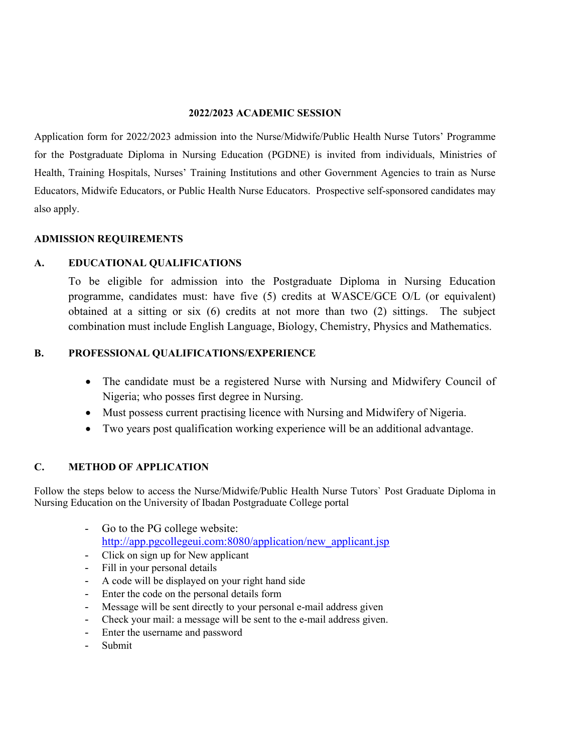### 2022/2023 ACADEMIC SESSION

Application form for 2022/2023 admission into the Nurse/Midwife/Public Health Nurse Tutors' Programme for the Postgraduate Diploma in Nursing Education (PGDNE) is invited from individuals, Ministries of Health, Training Hospitals, Nurses' Training Institutions and other Government Agencies to train as Nurse Educators, Midwife Educators, or Public Health Nurse Educators. Prospective self-sponsored candidates may also apply.

### ADMISSION REQUIREMENTS

### A. EDUCATIONAL QUALIFICATIONS

To be eligible for admission into the Postgraduate Diploma in Nursing Education programme, candidates must: have five (5) credits at WASCE/GCE O/L (or equivalent) obtained at a sitting or six (6) credits at not more than two (2) sittings. The subject combination must include English Language, Biology, Chemistry, Physics and Mathematics.

### B. PROFESSIONAL QUALIFICATIONS/EXPERIENCE

- The candidate must be a registered Nurse with Nursing and Midwifery Council of Nigeria; who posses first degree in Nursing.
- Must possess current practising licence with Nursing and Midwifery of Nigeria.
- Two years post qualification working experience will be an additional advantage.

## C. METHOD OF APPLICATION

Follow the steps below to access the Nurse/Midwife/Public Health Nurse Tutors` Post Graduate Diploma in Nursing Education on the University of Ibadan Postgraduate College portal

- Go to the PG college website: http://app.pgcollegeui.com:8080/application/new applicant.jsp
- Click on sign up for New applicant
- Fill in your personal details
- A code will be displayed on your right hand side
- Enter the code on the personal details form
- Message will be sent directly to your personal e-mail address given
- Check your mail: a message will be sent to the e-mail address given.
- Enter the username and password
- Submit